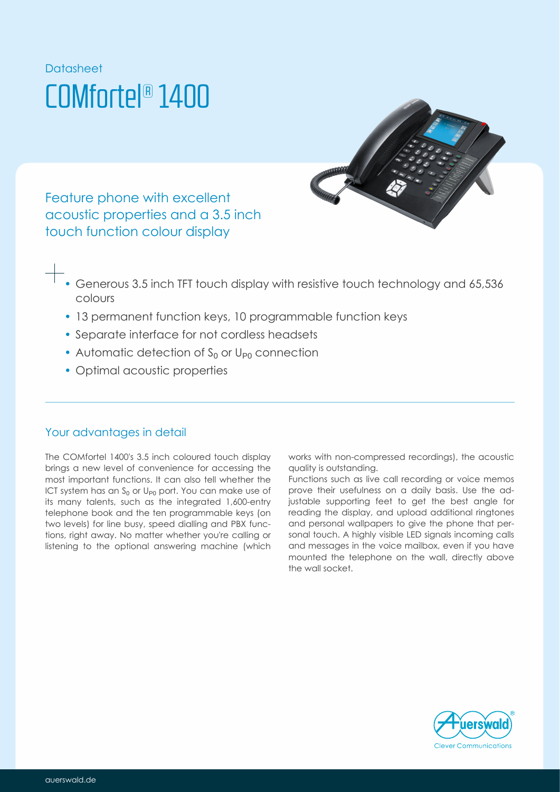# Datasheet COMfortel® 1400



Feature phone with excellent acoustic properties and a 3.5 inch touch function colour display

- Generous 3.5 inch TFT touch display with resistive touch technology and 65,536 colours
- 13 permanent function keys, 10 programmable function keys
- Separate interface for not cordless headsets
- Automatic detection of  $S_0$  or  $U_{P0}$  connection
- Optimal acoustic properties

### Your advantages in detail

The COMfortel 1400's 3.5 inch coloured touch display brings a new level of convenience for accessing the most important functions. It can also tell whether the ICT system has an  $\mathcal{S}_0$  or U<sub>P0</sub> port. You can make use of its many talents, such as the integrated 1,600-entry telephone book and the ten programmable keys (on two levels) for line busy, speed dialling and PBX functions, right away. No matter whether you're calling or listening to the optional answering machine (which works with non-compressed recordings), the acoustic quality is outstanding.

Functions such as live call recording or voice memos prove their usefulness on a daily basis. Use the adjustable supporting feet to get the best angle for reading the display, and upload additional ringtones and personal wallpapers to give the phone that personal touch. A highly visible LED signals incoming calls and messages in the voice mailbox, even if you have mounted the telephone on the wall, directly above the wall socket.